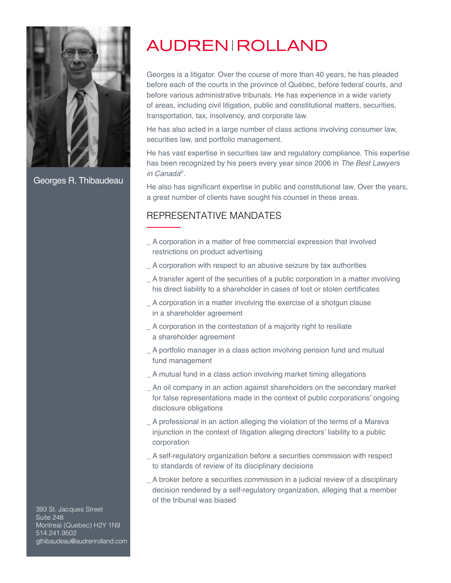

Georges R. Thibaudeau

## **AUDRENIROLLAND**

Georges is a litigator. Over the course of more than 40 years, he has pleaded before each of the courts in the province of Québec, before federal courts, and before various administrative tribunals. He has experience in a wide variety of areas, including civil litigation, public and constitutional matters, securities, transportation, tax, insolvency, and corporate law.

He has also acted in a large number of class actions involving consumer law, securities law, and portfolio management.

He has vast expertise in securities law and regulatory compliance. This expertise has been recognized by his peers every year since 2006 in The Best Lawyers in Canada® .

He also has significant expertise in public and constitutional law. Over the years, a great number of clients have sought his counsel in these areas.

## REPRESENTATIVE MANDATES

- \_ A corporation in a matter of free commercial expression that involved restrictions on product advertising
- \_ A corporation with respect to an abusive seizure by tax authorities
- \_ A transfer agent of the securities of a public corporation in a matter involving his direct liability to a shareholder in cases of lost or stolen certificates
- \_ A corporation in a matter involving the exercise of a shotgun clause in a shareholder agreement
- \_ A corporation in the contestation of a majority right to resiliate
- a shareholder agreement
- \_ A portfolio manager in a class action involving pension fund and mutual fund management
- \_ A mutual fund in a class action involving market timing allegations
- \_ An oil company in an action against shareholders on the secondary market for false representations made in the context of public corporations' ongoing disclosure obligations
- \_ A professional in an action alleging the violation of the terms of a Mareva injunction in the context of litigation alleging directors' liability to a public corporation
- \_ A self-regulatory organization before a securities commission with respect to standards of review of its disciplinary decisions
- \_ A broker before a securities commission in a judicial review of a disciplinary decision rendered by a self-regulatory organization, alleging that a member of the tribunal was biased

393 St. Jacques Street Suite 248 Montreal (Quebec) H2Y 1N9 514.241.9502 gthibaudeau@audrenrolland.com